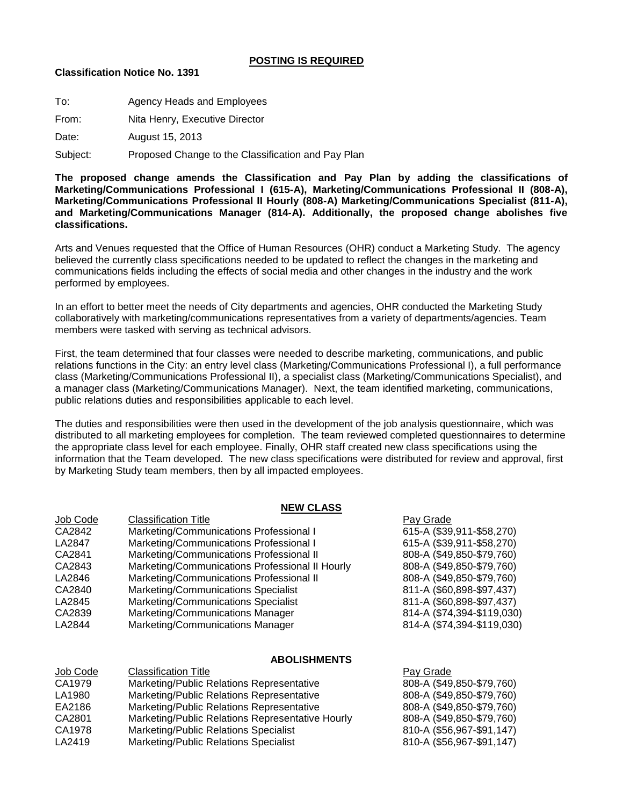## **POSTING IS REQUIRED**

## **Classification Notice No. 1391**

| To:      | <b>Agency Heads and Employees</b>                  |
|----------|----------------------------------------------------|
| From:    | Nita Henry, Executive Director                     |
| Date:    | August 15, 2013                                    |
| Subject: | Proposed Change to the Classification and Pay Plan |

**The proposed change amends the Classification and Pay Plan by adding the classifications of Marketing/Communications Professional I (615-A), Marketing/Communications Professional II (808-A), Marketing/Communications Professional II Hourly (808-A) Marketing/Communications Specialist (811-A), and Marketing/Communications Manager (814-A). Additionally, the proposed change abolishes five classifications.**

Arts and Venues requested that the Office of Human Resources (OHR) conduct a Marketing Study. The agency believed the currently class specifications needed to be updated to reflect the changes in the marketing and communications fields including the effects of social media and other changes in the industry and the work performed by employees.

In an effort to better meet the needs of City departments and agencies, OHR conducted the Marketing Study collaboratively with marketing/communications representatives from a variety of departments/agencies. Team members were tasked with serving as technical advisors.

First, the team determined that four classes were needed to describe marketing, communications, and public relations functions in the City: an entry level class (Marketing/Communications Professional I), a full performance class (Marketing/Communications Professional II), a specialist class (Marketing/Communications Specialist), and a manager class (Marketing/Communications Manager). Next, the team identified marketing, communications, public relations duties and responsibilities applicable to each level.

The duties and responsibilities were then used in the development of the job analysis questionnaire, which was distributed to all marketing employees for completion. The team reviewed completed questionnaires to determine the appropriate class level for each employee. Finally, OHR staff created new class specifications using the information that the Team developed. The new class specifications were distributed for review and approval, first by Marketing Study team members, then by all impacted employees.

#### **NEW CLASS**

| Job Code | <b>Classification Title</b>                     | Pay Grade                  |
|----------|-------------------------------------------------|----------------------------|
| CA2842   | Marketing/Communications Professional I         | 615-A (\$39,911-\$58,270)  |
| LA2847   | Marketing/Communications Professional I         | 615-A (\$39,911-\$58,270)  |
| CA2841   | Marketing/Communications Professional II        | 808-A (\$49,850-\$79,760)  |
| CA2843   | Marketing/Communications Professional II Hourly | 808-A (\$49,850-\$79,760)  |
| LA2846   | Marketing/Communications Professional II        | 808-A (\$49,850-\$79,760)  |
| CA2840   | Marketing/Communications Specialist             | 811-A (\$60,898-\$97,437)  |
| LA2845   | Marketing/Communications Specialist             | 811-A (\$60,898-\$97,437)  |
| CA2839   | Marketing/Communications Manager                | 814-A (\$74,394-\$119,030) |
| LA2844   | Marketing/Communications Manager                | 814-A (\$74,394-\$119,030) |
|          |                                                 |                            |

#### **ABOLISHMENTS**

| CA1979<br>Marketing/Public Relations Representative<br>Marketing/Public Relations Representative<br>LA1980<br>Marketing/Public Relations Representative<br>EA2186<br>Marketing/Public Relations Representative Hourly<br>CA2801<br>Marketing/Public Relations Specialist<br>CA1978<br>Marketing/Public Relations Specialist<br>LA2419 | Job Code | <b>Classification Title</b> | Pay Grade                 |
|---------------------------------------------------------------------------------------------------------------------------------------------------------------------------------------------------------------------------------------------------------------------------------------------------------------------------------------|----------|-----------------------------|---------------------------|
|                                                                                                                                                                                                                                                                                                                                       |          |                             | 808-A (\$49,850-\$79,760) |
|                                                                                                                                                                                                                                                                                                                                       |          |                             | 808-A (\$49,850-\$79,760) |
|                                                                                                                                                                                                                                                                                                                                       |          |                             | 808-A (\$49,850-\$79,760) |
|                                                                                                                                                                                                                                                                                                                                       |          |                             | 808-A (\$49,850-\$79,760) |
|                                                                                                                                                                                                                                                                                                                                       |          |                             | 810-A (\$56,967-\$91,147) |
|                                                                                                                                                                                                                                                                                                                                       |          |                             | 810-A (\$56,967-\$91,147) |